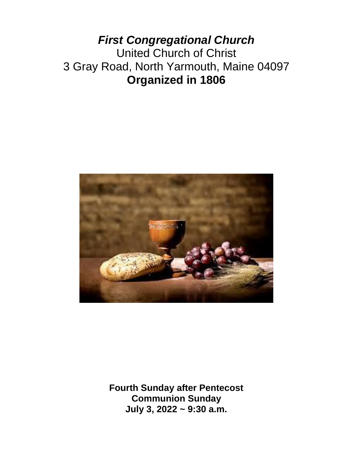# *First Congregational Church* United Church of Christ 3 Gray Road, North Yarmouth, Maine 04097 **Organized in 1806**



**Fourth Sunday after Pentecost Communion Sunday July 3, 2022 ~ 9:30 a.m.**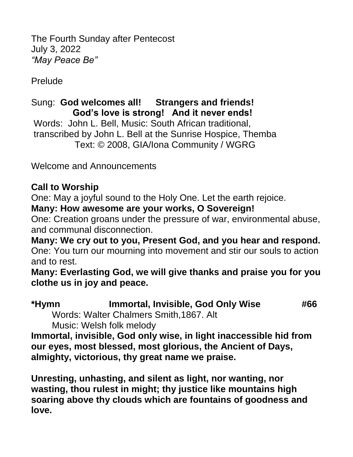The Fourth Sunday after Pentecost July 3, 2022 *"May Peace Be"*

Prelude

# Sung: **God welcomes all! Strangers and friends! God's love is strong! And it never ends!**

Words: John L. Bell, Music: South African traditional, transcribed by John L. Bell at the Sunrise Hospice, Themba Text: © 2008, GIA/Iona Community / WGRG

Welcome and Announcements

## **Call to Worship**

One: May a joyful sound to the Holy One. Let the earth rejoice. **Many: How awesome are your works, O Sovereign!**

One: Creation groans under the pressure of war, environmental abuse, and communal disconnection.

**Many: We cry out to you, Present God, and you hear and respond.** One: You turn our mourning into movement and stir our souls to action and to rest.

**Many: Everlasting God, we will give thanks and praise you for you clothe us in joy and peace.**

| *Hymn                                   | Immortal, Invisible, God Only Wise | #66 |
|-----------------------------------------|------------------------------------|-----|
| Words: Walter Chalmers Smith, 1867. Alt |                                    |     |

Music: Welsh folk melody

**Immortal, invisible, God only wise, in light inaccessible hid from our eyes, most blessed, most glorious, the Ancient of Days, almighty, victorious, thy great name we praise.**

**Unresting, unhasting, and silent as light, nor wanting, nor wasting, thou rulest in might; thy justice like mountains high soaring above thy clouds which are fountains of goodness and love.**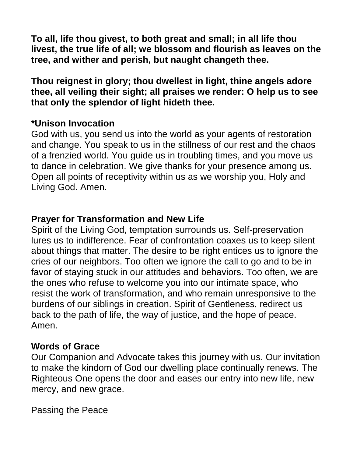**To all, life thou givest, to both great and small; in all life thou livest, the true life of all; we blossom and flourish as leaves on the tree, and wither and perish, but naught changeth thee.**

**Thou reignest in glory; thou dwellest in light, thine angels adore thee, all veiling their sight; all praises we render: O help us to see that only the splendor of light hideth thee.**

#### **\*Unison Invocation**

God with us, you send us into the world as your agents of restoration and change. You speak to us in the stillness of our rest and the chaos of a frenzied world. You guide us in troubling times, and you move us to dance in celebration. We give thanks for your presence among us. Open all points of receptivity within us as we worship you, Holy and Living God. Amen.

## **Prayer for Transformation and New Life**

Spirit of the Living God, temptation surrounds us. Self-preservation lures us to indifference. Fear of confrontation coaxes us to keep silent about things that matter. The desire to be right entices us to ignore the cries of our neighbors. Too often we ignore the call to go and to be in favor of staying stuck in our attitudes and behaviors. Too often, we are the ones who refuse to welcome you into our intimate space, who resist the work of transformation, and who remain unresponsive to the burdens of our siblings in creation. Spirit of Gentleness, redirect us back to the path of life, the way of justice, and the hope of peace. Amen.

## **Words of Grace**

Our Companion and Advocate takes this journey with us. Our invitation to make the kindom of God our dwelling place continually renews. The Righteous One opens the door and eases our entry into new life, new mercy, and new grace.

Passing the Peace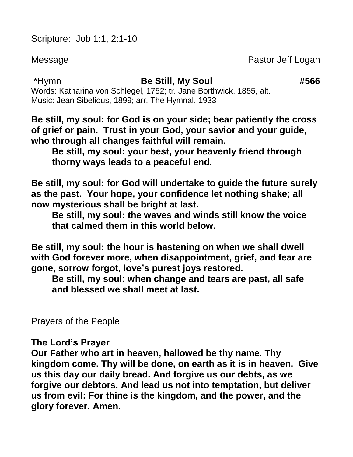Scripture: Job 1:1, 2:1-10

Message **Pastor Jeff Logan** 

\*Hymn **Be Still, My Soul #566**

Words: Katharina von Schlegel, 1752; tr. Jane Borthwick, 1855, alt. Music: Jean Sibelious, 1899; arr. The Hymnal, 1933

**Be still, my soul: for God is on your side; bear patiently the cross of grief or pain. Trust in your God, your savior and your guide, who through all changes faithful will remain.**

**Be still, my soul: your best, your heavenly friend through thorny ways leads to a peaceful end.**

**Be still, my soul: for God will undertake to guide the future surely as the past. Your hope, your confidence let nothing shake; all now mysterious shall be bright at last.** 

**Be still, my soul: the waves and winds still know the voice that calmed them in this world below.**

**Be still, my soul: the hour is hastening on when we shall dwell with God forever more, when disappointment, grief, and fear are gone, sorrow forgot, love's purest joys restored.**

**Be still, my soul: when change and tears are past, all safe and blessed we shall meet at last.**

Prayers of the People

**The Lord's Prayer**

**Our Father who art in heaven, hallowed be thy name. Thy kingdom come. Thy will be done, on earth as it is in heaven. Give us this day our daily bread. And forgive us our debts, as we forgive our debtors. And lead us not into temptation, but deliver us from evil: For thine is the kingdom, and the power, and the glory forever. Amen.**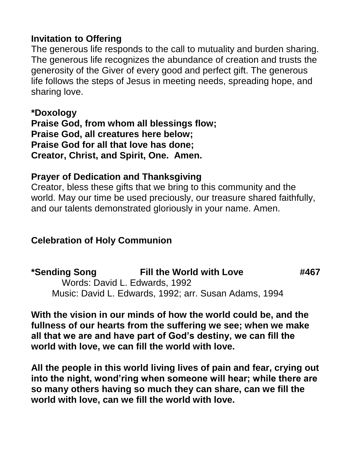#### **Invitation to Offering**

The generous life responds to the call to mutuality and burden sharing. The generous life recognizes the abundance of creation and trusts the generosity of the Giver of every good and perfect gift. The generous life follows the steps of Jesus in meeting needs, spreading hope, and sharing love.

**\*Doxology Praise God, from whom all blessings flow; Praise God, all creatures here below; Praise God for all that love has done; Creator, Christ, and Spirit, One. Amen.** 

## **Prayer of Dedication and Thanksgiving**

Creator, bless these gifts that we bring to this community and the world. May our time be used preciously, our treasure shared faithfully, and our talents demonstrated gloriously in your name. Amen.

## **Celebration of Holy Communion**

**\*Sending Song Fill the World with Love #467** Words: David L. Edwards, 1992 Music: David L. Edwards, 1992; arr. Susan Adams, 1994

**With the vision in our minds of how the world could be, and the fullness of our hearts from the suffering we see; when we make all that we are and have part of God's destiny, we can fill the world with love, we can fill the world with love.**

**All the people in this world living lives of pain and fear, crying out into the night, wond'ring when someone will hear; while there are so many others having so much they can share, can we fill the world with love, can we fill the world with love.**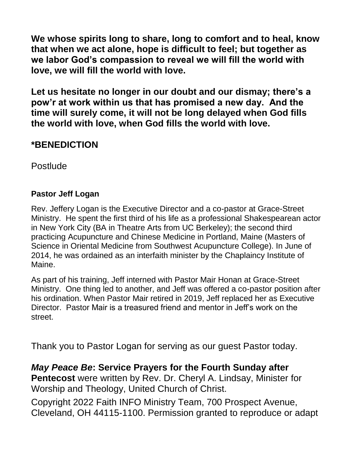**We whose spirits long to share, long to comfort and to heal, know that when we act alone, hope is difficult to feel; but together as we labor God's compassion to reveal we will fill the world with love, we will fill the world with love.**

**Let us hesitate no longer in our doubt and our dismay; there's a pow'r at work within us that has promised a new day. And the time will surely come, it will not be long delayed when God fills the world with love, when God fills the world with love.**

### **\*BENEDICTION**

**Postlude** 

#### **Pastor Jeff Logan**

Rev. Jeffery Logan is the Executive Director and a co-pastor at Grace-Street Ministry. He spent the first third of his life as a professional Shakespearean actor in New York City (BA in Theatre Arts from UC Berkeley); the second third practicing Acupuncture and Chinese Medicine in Portland, Maine (Masters of Science in Oriental Medicine from Southwest Acupuncture College). In June of 2014, he was ordained as an interfaith minister by the Chaplaincy Institute of Maine.

As part of his training, Jeff interned with Pastor Mair Honan at Grace-Street Ministry. One thing led to another, and Jeff was offered a co-pastor position after his ordination. When Pastor Mair retired in 2019, Jeff replaced her as Executive Director. Pastor Mair is a treasured friend and mentor in Jeff's work on the street.

Thank you to Pastor Logan for serving as our guest Pastor today.

*May Peace Be***: Service Prayers for the Fourth Sunday after Pentecost** were written by Rev. Dr. Cheryl A. Lindsay, Minister for Worship and Theology, United Church of Christ.

Copyright 2022 Faith INFO Ministry Team, 700 Prospect Avenue, Cleveland, OH 44115-1100. Permission granted to reproduce or adapt